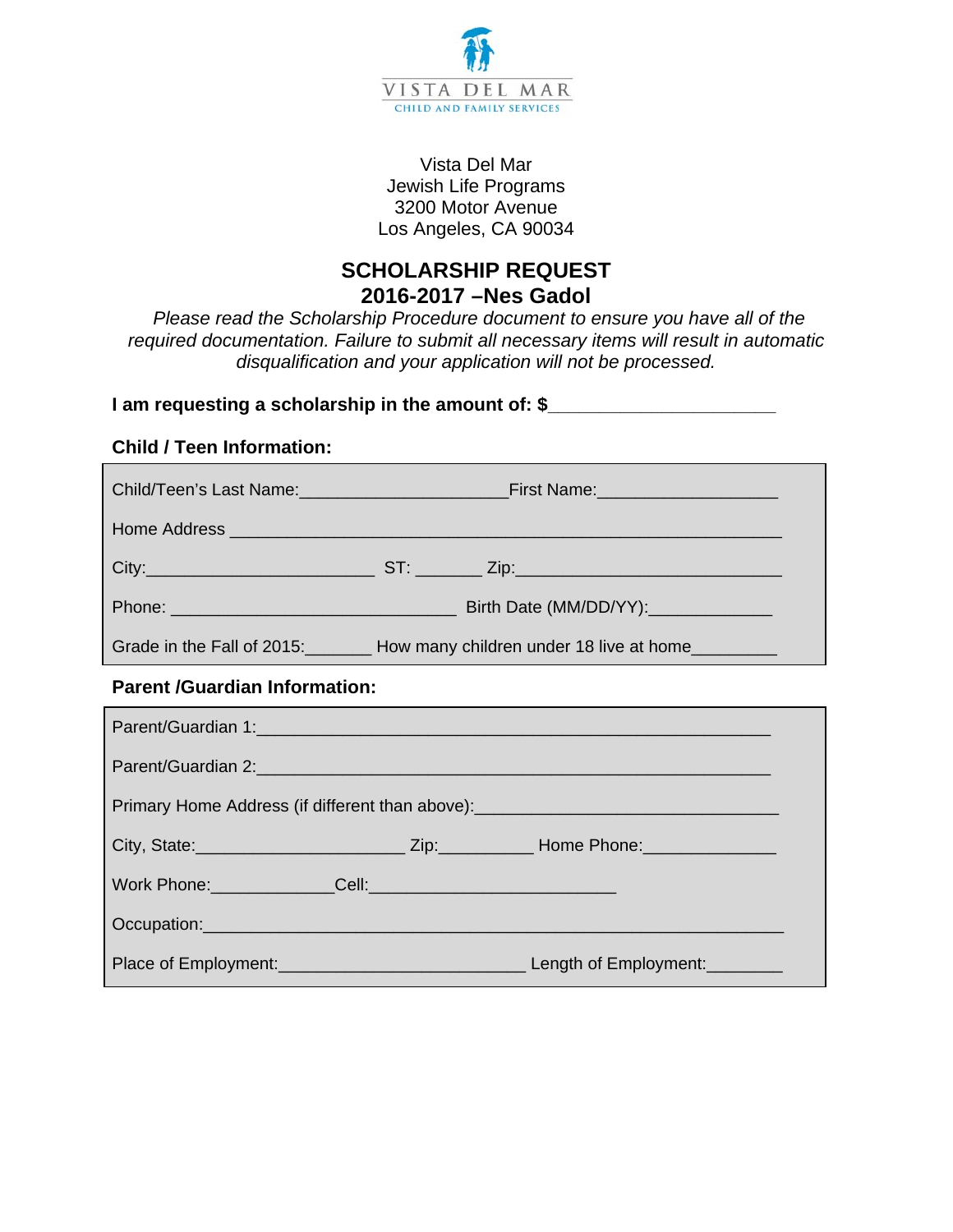

## Vista Del Mar Jewish Life Programs 3200 Motor Avenue Los Angeles, CA 90034

# **SCHOLARSHIP REQUEST 2016-2017 –Nes Gadol**

*Please read the Scholarship Procedure document to ensure you have all of the required documentation. Failure to submit all necessary items will result in automatic disqualification and your application will not be processed.* 

# **I** am requesting a scholarship in the amount of: \$

# **Child / Teen Information:**

|                                                                                  | Grade in the Fall of 2015: <b>Now many children under 18 live at home</b>                                                                                                                                                     |  |  |  |
|----------------------------------------------------------------------------------|-------------------------------------------------------------------------------------------------------------------------------------------------------------------------------------------------------------------------------|--|--|--|
| <b>Parent /Guardian Information:</b>                                             |                                                                                                                                                                                                                               |  |  |  |
|                                                                                  | Parent/Guardian 1:                                                                                                                                                                                                            |  |  |  |
|                                                                                  |                                                                                                                                                                                                                               |  |  |  |
| Primary Home Address (if different than above): ________________________________ |                                                                                                                                                                                                                               |  |  |  |
|                                                                                  |                                                                                                                                                                                                                               |  |  |  |
|                                                                                  |                                                                                                                                                                                                                               |  |  |  |
|                                                                                  | Occupation: experience of the contract of the contract of the contract of the contract of the contract of the contract of the contract of the contract of the contract of the contract of the contract of the contract of the |  |  |  |
|                                                                                  |                                                                                                                                                                                                                               |  |  |  |